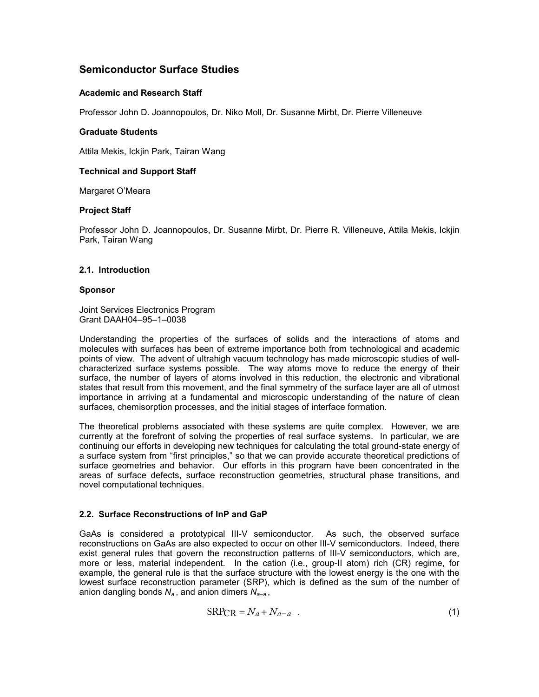# **Semiconductor Surface Studies**

#### **Academic and Research Staff**

Professor John D. Joannopoulos, Dr. Niko Moll, Dr. Susanne Mirbt, Dr. Pierre Villeneuve

#### **Graduate Students**

Attila Mekis, Ickjin Park, Tairan Wang

## **Technical and Support Staff**

Margaret O'Meara

## **Project Staff**

Professor John D. Joannopoulos, Dr. Susanne Mirbt, Dr. Pierre R. Villeneuve, Attila Mekis, Ickjin Park, Tairan Wang

#### **2.1. Introduction**

#### **Sponsor**

Joint Services Electronics Program Grant DAAH04–95–1–0038

Understanding the properties of the surfaces of solids and the interactions of atoms and molecules with surfaces has been of extreme importance both from technological and academic points of view. The advent of ultrahigh vacuum technology has made microscopic studies of wellcharacterized surface systems possible. The way atoms move to reduce the energy of their surface, the number of layers of atoms involved in this reduction, the electronic and vibrational states that result from this movement, and the final symmetry of the surface layer are all of utmost importance in arriving at a fundamental and microscopic understanding of the nature of clean surfaces, chemisorption processes, and the initial stages of interface formation.

The theoretical problems associated with these systems are quite complex. However, we are currently at the forefront of solving the properties of real surface systems. In particular, we are continuing our efforts in developing new techniques for calculating the total ground-state energy of a surface system from "first principles," so that we can provide accurate theoretical predictions of surface geometries and behavior. Our efforts in this program have been concentrated in the areas of surface defects, surface reconstruction geometries, structural phase transitions, and novel computational techniques.

# **2.2. Surface Reconstructions of InP and GaP**

GaAs is considered a prototypical III-V semiconductor. As such, the observed surface reconstructions on GaAs are also expected to occur on other III-V semiconductors. Indeed, there exist general rules that govern the reconstruction patterns of III-V semiconductors, which are, more or less, material independent. In the cation (i.e., group-II atom) rich (CR) regime, for example, the general rule is that the surface structure with the lowest energy is the one with the lowest surface reconstruction parameter (SRP), which is defined as the sum of the number of anion dangling bonds  $N_a$ , and anion dimers  $N_{a-a}$ ,

$$
SRP_{CR} = N_a + N_{a-a} \quad . \tag{1}
$$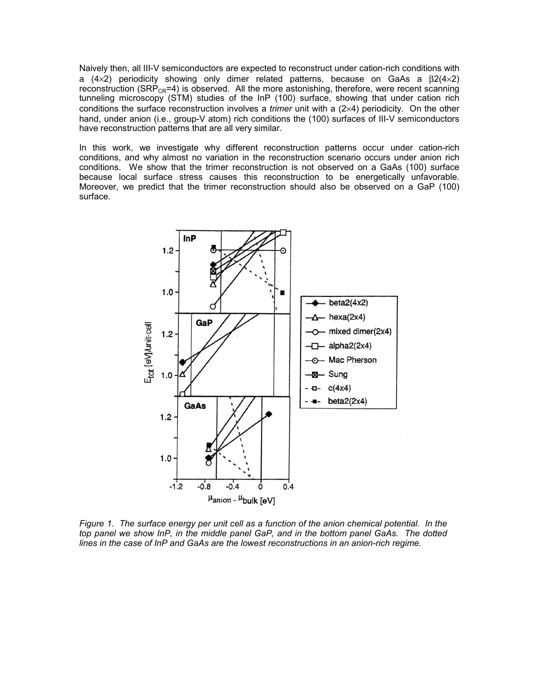Naively then, all III-V semiconductors are expected to reconstruct under cation-rich conditions with a (4×2) periodicity showing only dimer related patterns, because on GaAs a  $\beta$ 2(4×2) reconstruction (SRP<sub>CR</sub>=4) is observed. All the more astonishing, therefore, were recent scanning tunneling microscopy (STM) studies of the InP (100) surface, showing that under cation rich conditions the surface reconstruction involves a *trimer* unit with a (2×4) periodicity. On the other hand, under anion (i.e., group-V atom) rich conditions the (100) surfaces of III-V semiconductors have reconstruction patterns that are all very similar.

In this work, we investigate why different reconstruction patterns occur under cation-rich conditions, and why almost no variation in the reconstruction scenario occurs under anion rich conditions. We show that the trimer reconstruction is not observed on a GaAs (100) surface because local surface stress causes this reconstruction to be energetically unfavorable. Moreover, we predict that the trimer reconstruction should also be observed on a GaP (100) surface.



*Figure 1. The surface energy per unit cell as a function of the anion chemical potential. In the top panel we show InP, in the middle panel GaP, and in the bottom panel GaAs. The dotted lines in the case of InP and GaAs are the lowest reconstructions in an anion-rich regime.*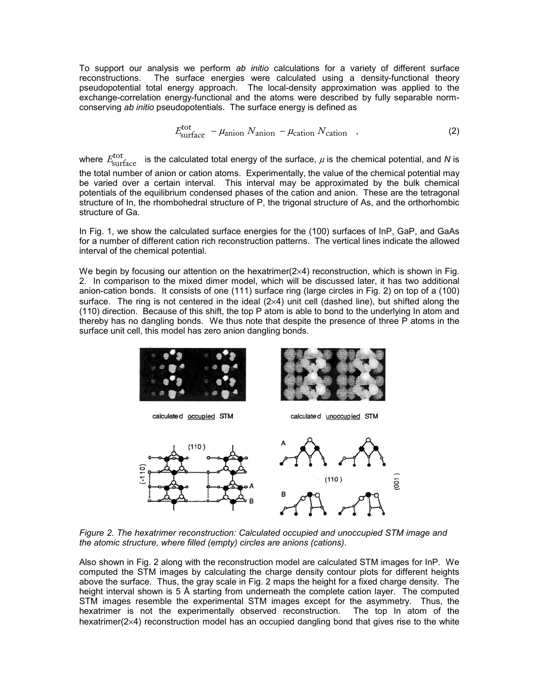To support our analysis we perform *ab initio* calculations for a variety of different surface reconstructions. The surface energies were calculated using a density-functional theory pseudopotential total energy approach. The local-density approximation was applied to the exchange-correlation energy-functional and the atoms were described by fully separable normconserving *ab initio* pseudopotentials. The surface energy is defined as

$$
E_{\text{surface}}^{\text{tot}} - \mu_{\text{anion}} N_{\text{anion}} - \mu_{\text{cation}} N_{\text{cation}} \quad , \tag{2}
$$

where  $E_{\rm surface}^{\rm tot}$  is the calculated total energy of the surface,  $\mu$  is the chemical potential, and *N* is the total number of anion or cation atoms. Experimentally, the value of the chemical potential may be varied over a certain interval. This interval may be approximated by the bulk chemical potentials of the equilibrium condensed phases of the cation and anion. These are the tetragonal structure of In, the rhombohedral structure of P, the trigonal structure of As, and the orthorhombic structure of Ga.

In Fig. 1, we show the calculated surface energies for the (100) surfaces of InP, GaP, and GaAs for a number of different cation rich reconstruction patterns. The vertical lines indicate the allowed interval of the chemical potential.

We begin by focusing our attention on the hexatrimer( $2\times 4$ ) reconstruction, which is shown in Fig. 2. In comparison to the mixed dimer model, which will be discussed later, it has two additional anion-cation bonds. It consists of one (111) surface ring (large circles in Fig. 2) on top of a (100) surface. The ring is not centered in the ideal (2×4) unit cell (dashed line), but shifted along the (110) direction. Because of this shift, the top P atom is able to bond to the underlying In atom and thereby has no dangling bonds. We thus note that despite the presence of three P atoms in the surface unit cell, this model has zero anion dangling bonds.



Í

calculated occupied STM



calculate d unoccupied STM



*Figure 2. The hexatrimer reconstruction: Calculated occupied and unoccupied STM image and the atomic structure, where filled (empty) circles are anions (cations).*

Also shown in Fig. 2 along with the reconstruction model are calculated STM images for InP. We computed the STM images by calculating the charge density contour plots for different heights above the surface. Thus, the gray scale in Fig. 2 maps the height for a fixed charge density. The height interval shown is 5 Å starting from underneath the complete cation layer. The computed STM images resemble the experimental STM images except for the asymmetry. Thus, the hexatrimer is not the experimentally observed reconstruction. The top In atom of the hexatrimer(2×4) reconstruction model has an occupied dangling bond that gives rise to the white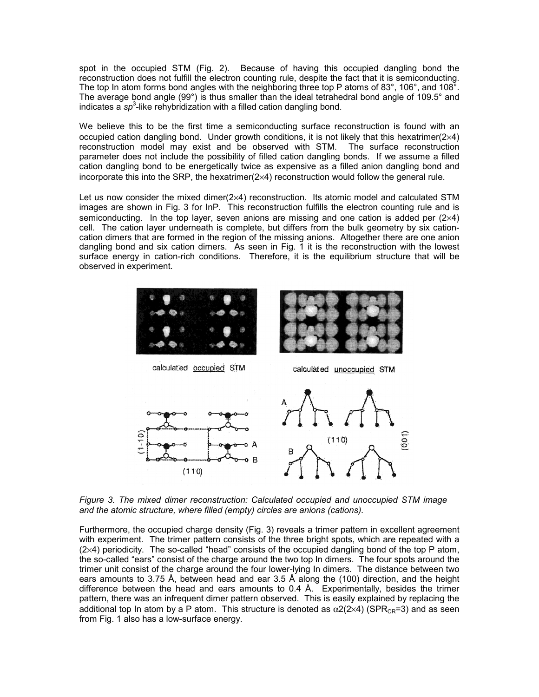spot in the occupied STM (Fig. 2). Because of having this occupied dangling bond the reconstruction does not fulfill the electron counting rule, despite the fact that it is semiconducting. The top In atom forms bond angles with the neighboring three top P atoms of 83°, 106°, and 108°. The average bond angle (99°) is thus smaller than the ideal tetrahedral bond angle of 109.5° and indicates a sp<sup>3</sup>-like rehybridization with a filled cation dangling bond.

We believe this to be the first time a semiconducting surface reconstruction is found with an occupied cation dangling bond. Under growth conditions, it is not likely that this hexatrimer( $2\times 4$ ) reconstruction model may exist and be observed with STM. The surface reconstruction parameter does not include the possibility of filled cation dangling bonds. If we assume a filled cation dangling bond to be energetically twice as expensive as a filled anion dangling bond and incorporate this into the SRP, the hexatrimer( $2\times 4$ ) reconstruction would follow the general rule.

Let us now consider the mixed dimer(2×4) reconstruction. Its atomic model and calculated STM images are shown in Fig. 3 for InP. This reconstruction fulfills the electron counting rule and is semiconducting. In the top layer, seven anions are missing and one cation is added per  $(2\times4)$ cell. The cation layer underneath is complete, but differs from the bulk geometry by six cationcation dimers that are formed in the region of the missing anions. Altogether there are one anion dangling bond and six cation dimers. As seen in Fig. 1 it is the reconstruction with the lowest surface energy in cation-rich conditions. Therefore, it is the equilibrium structure that will be observed in experiment.



*Figure 3. The mixed dimer reconstruction: Calculated occupied and unoccupied STM image and the atomic structure, where filled (empty) circles are anions (cations).* 

Furthermore, the occupied charge density (Fig. 3) reveals a trimer pattern in excellent agreement with experiment. The trimer pattern consists of the three bright spots, which are repeated with a (2×4) periodicity. The so-called "head" consists of the occupied dangling bond of the top P atom, the so-called "ears" consist of the charge around the two top In dimers. The four spots around the trimer unit consist of the charge around the four lower-lying In dimers. The distance between two ears amounts to 3.75 Å, between head and ear 3.5 Å along the (100) direction, and the height difference between the head and ears amounts to 0.4 Å. Experimentally, besides the trimer pattern, there was an infrequent dimer pattern observed. This is easily explained by replacing the additional top In atom by a P atom. This structure is denoted as  $\alpha$ 2(2×4) (SPR<sub>CR</sub>=3) and as seen from Fig. 1 also has a low-surface energy.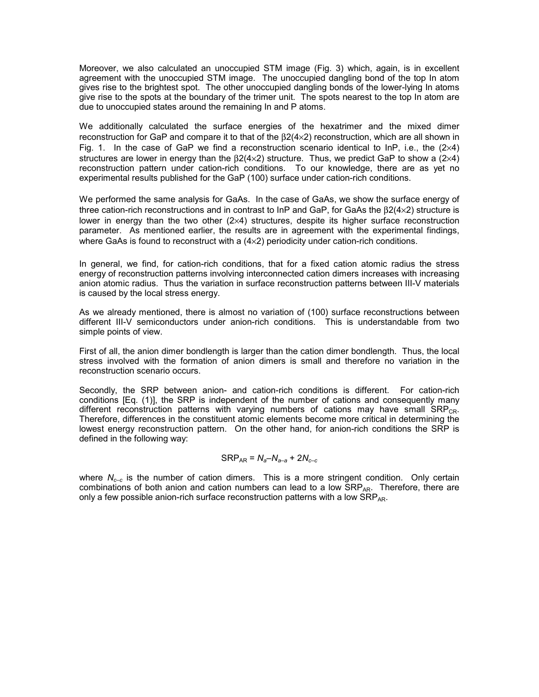Moreover, we also calculated an unoccupied STM image (Fig. 3) which, again, is in excellent agreement with the unoccupied STM image. The unoccupied dangling bond of the top In atom gives rise to the brightest spot. The other unoccupied dangling bonds of the lower-lying In atoms give rise to the spots at the boundary of the trimer unit. The spots nearest to the top In atom are due to unoccupied states around the remaining In and P atoms.

We additionally calculated the surface energies of the hexatrimer and the mixed dimer reconstruction for GaP and compare it to that of the β2(4×2) reconstruction, which are all shown in Fig. 1. In the case of GaP we find a reconstruction scenario identical to InP, i.e., the  $(2\times4)$ structures are lower in energy than the  $\beta$ 2(4×2) structure. Thus, we predict GaP to show a (2×4) reconstruction pattern under cation-rich conditions. To our knowledge, there are as yet no experimental results published for the GaP (100) surface under cation-rich conditions.

We performed the same analysis for GaAs. In the case of GaAs, we show the surface energy of three cation-rich reconstructions and in contrast to InP and GaP, for GaAs the β2(4×2) structure is lower in energy than the two other (2×4) structures, despite its higher surface reconstruction parameter. As mentioned earlier, the results are in agreement with the experimental findings, where GaAs is found to reconstruct with a  $(4\times2)$  periodicity under cation-rich conditions.

In general, we find, for cation-rich conditions, that for a fixed cation atomic radius the stress energy of reconstruction patterns involving interconnected cation dimers increases with increasing anion atomic radius. Thus the variation in surface reconstruction patterns between III-V materials is caused by the local stress energy.

As we already mentioned, there is almost no variation of (100) surface reconstructions between different III-V semiconductors under anion-rich conditions. This is understandable from two simple points of view.

First of all, the anion dimer bondlength is larger than the cation dimer bondlength. Thus, the local stress involved with the formation of anion dimers is small and therefore no variation in the reconstruction scenario occurs.

Secondly, the SRP between anion- and cation-rich conditions is different. For cation-rich conditions [Eq. (1)], the SRP is independent of the number of cations and consequently many different reconstruction patterns with varying numbers of cations may have small  $SRP_{CR}$ . Therefore, differences in the constituent atomic elements become more critical in determining the lowest energy reconstruction pattern. On the other hand, for anion-rich conditions the SRP is defined in the following way:

# $SRP_{AR} = N_a - N_{a-a} + 2N_{c-c}$

where  $N_{c-c}$  is the number of cation dimers. This is a more stringent condition. Only certain combinations of both anion and cation numbers can lead to a low  $\overline{SRP_{AR}}$ . Therefore, there are only a few possible anion-rich surface reconstruction patterns with a low  $\text{SRP}_{AR}$ .